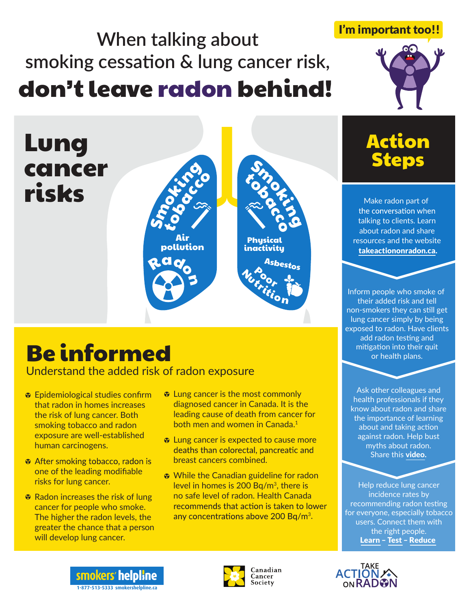# **When talking about smoking cessation & lung cancer risk,** don't leave radon behind!

Smocking tobacco

> Air pollution

Rado<br>CRIS



Lung

risks

cancer

Understand the added risk of radon exposure

- $\bullet$  Epidemiological studies confirm that radon in homes increases the risk of lung cancer. Both smoking tobacco and radon exposure are well-established human carcinogens.
- After smoking tobacco, radon is one of the leading modifiable risks for lung cancer.
- **♦ Radon increases the risk of lung** cancer for people who smoke. The higher the radon levels, the greater the chance that a person will develop lung cancer.

 $\bullet$  Lung cancer is the most commonly diagnosed cancer in Canada. It is the leading cause of death from cancer for both men and women in Canada.1

**Smocials** tobacco

Asbestos

**Physical** inactivity

Nutroot Por<br>Exam

- $\bullet$  Lung cancer is expected to cause more deaths than colorectal, pancreatic and breast cancers combined.
- **♦ While the Canadian guideline for radon** level in homes is  $200 Bq/m<sup>3</sup>$ , there is no safe level of radon. Health Canada recommends that action is taken to lower any concentrations above 200 Bq/m<sup>3</sup>.



I'm important too!!

Make radon part of the conversation when talking to clients. Learn about radon and share resources and the website takeactiononradon.ca.

Inform people who smoke of their added risk and tell non-smokers they can still get lung cancer simply by being exposed to radon. Have clients add radon testing and mitigation into their quit or health plans.

Ask other colleagues and health professionals if they know about radon and share the importance of learning about and taking action against radon. Help bust myths about radon. Share this video.

Help reduce lung cancer incidence rates by recommending radon testing for everyone, especially tobacco users. Connect them with the right people. Learn – Test – Reduce